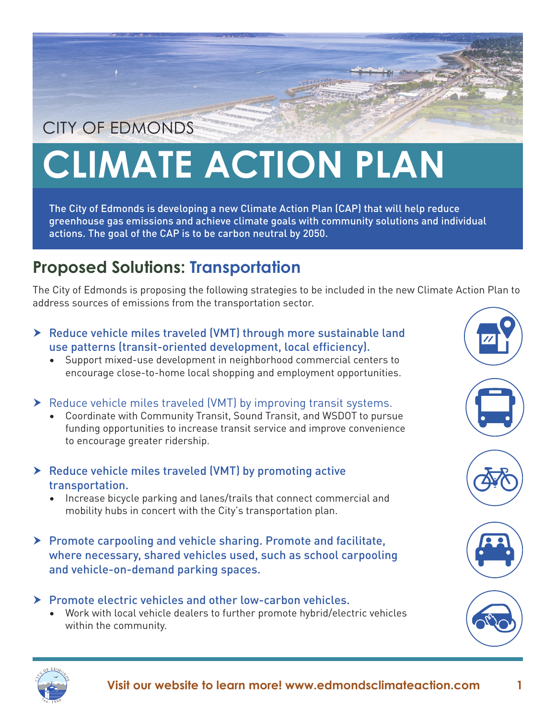## CITY OF EDMONDS

## **CLIMATE ACTION PLAN**

The City of Edmonds is developing a new Climate Action Plan (CAP) that will help reduce greenhouse gas emissions and achieve climate goals with community solutions and individual actions. The goal of the CAP is to be carbon neutral by 2050.

## **Proposed Solutions: Transportation**

The City of Edmonds is proposing the following strategies to be included in the new Climate Action Plan to address sources of emissions from the transportation sector.

- $\triangleright$  Reduce vehicle miles traveled (VMT) through more sustainable land use patterns (transit-oriented development, local efficiency).
	- Support mixed-use development in neighborhood commercial centers to encourage close-to-home local shopping and employment opportunities.
- $\blacktriangleright$  Reduce vehicle miles traveled (VMT) by improving transit systems.
	- Coordinate with Community Transit, Sound Transit, and WSDOT to pursue funding opportunities to increase transit service and improve convenience to encourage greater ridership.
- $\triangleright$  Reduce vehicle miles traveled (VMT) by promoting active transportation.
	- Increase bicycle parking and lanes/trails that connect commercial and mobility hubs in concert with the City's transportation plan.
- $\triangleright$  Promote carpooling and vehicle sharing. Promote and facilitate, where necessary, shared vehicles used, such as school carpooling and vehicle-on-demand parking spaces.
- $\triangleright$  Promote electric vehicles and other low-carbon vehicles. • Work with local vehicle dealers to further promote hybrid/electric vehicles
	- within the community.